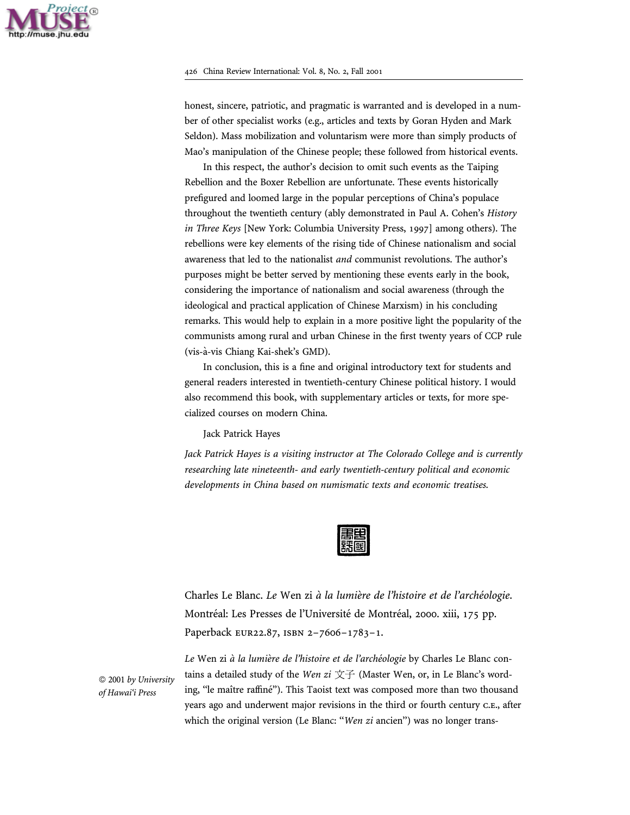

honest, sincere, patriotic, and pragmatic is warranted and is developed in a number of other specialist works (e.g., articles and texts by Goran Hyden and Mark Seldon). Mass mobilization and voluntarism were more than simply products of Mao's manipulation of the Chinese people; these followed from historical events.

In this respect, the author's decision to omit such events as the Taiping Rebellion and the Boxer Rebellion are unfortunate. These events historically prefigured and loomed large in the popular perceptions of China's populace throughout the twentieth century (ably demonstrated in Paul A. Cohen's History in Three Keys [New York: Columbia University Press, 1997] among others). The rebellions were key elements of the rising tide of Chinese nationalism and social awareness that led to the nationalist and communist revolutions. The author's purposes might be better served by mentioning these events early in the book, considering the importance of nationalism and social awareness (through the ideological and practical application of Chinese Marxism) in his concluding remarks. This would help to explain in a more positive light the popularity of the communists among rural and urban Chinese in the first twenty years of CCP rule (vis-a`-vis Chiang Kai-shek's GMD).

In conclusion, this is a fine and original introductory text for students and general readers interested in twentieth-century Chinese political history. I would also recommend this book, with supplementary articles or texts, for more specialized courses on modern China.

Jack Patrick Hayes

Jack Patrick Hayes is a visiting instructor at The Colorado College and is currently researching late nineteenth- and early twentieth-century political and economic developments in China based on numismatic texts and economic treatises.



Charles Le Blanc. Le Wen zi à la lumière de l'histoire et de l'archéologie. Montréal: Les Presses de l'Université de Montréal, 2000. xiii, 175 pp. Paperback EUR22.87, ISBN 2-7606-1783-1.

© 2001 by University of Hawai'i Press

Le Wen zi à la lumière de l'histoire et de l'archéologie by Charles Le Blanc contains a detailed study of the Wen zi  $\overline{\chi}$  (Master Wen, or, in Le Blanc's wording, "le maître raffiné"). This Taoist text was composed more than two thousand years ago and underwent major revisions in the third or fourth century c.e., after which the original version (Le Blanc: "Wen zi ancien") was no longer trans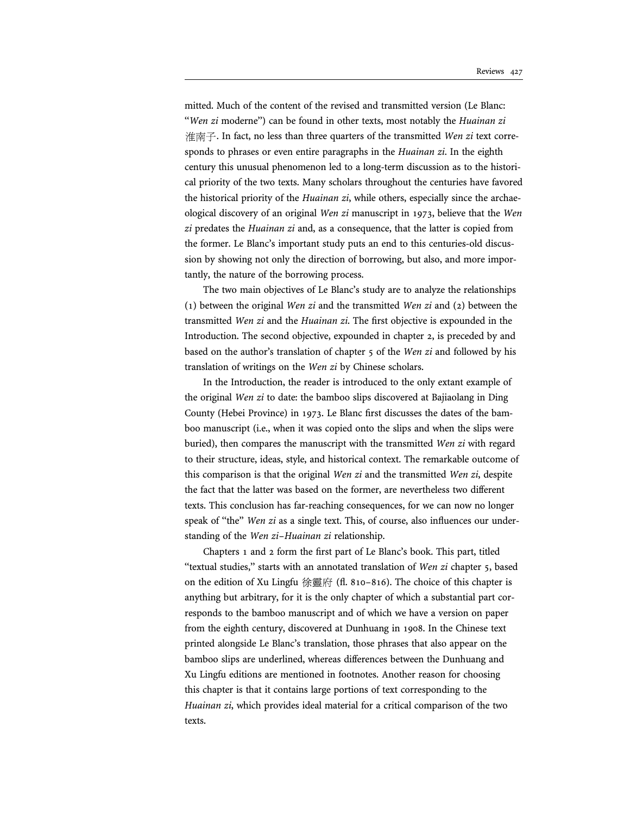mitted. Much of the content of the revised and transmitted version (Le Blanc: "Wen zi moderne") can be found in other texts, most notably the Huainan zi 淮南子. In fact, no less than three quarters of the transmitted Wen zi text corresponds to phrases or even entire paragraphs in the Huainan zi. In the eighth century this unusual phenomenon led to a long-term discussion as to the historical priority of the two texts. Many scholars throughout the centuries have favored the historical priority of the *Huainan zi*, while others, especially since the archaeological discovery of an original Wen zi manuscript in 1973, believe that the Wen zi predates the Huainan zi and, as a consequence, that the latter is copied from the former. Le Blanc's important study puts an end to this centuries-old discussion by showing not only the direction of borrowing, but also, and more importantly, the nature of the borrowing process.

The two main objectives of Le Blanc's study are to analyze the relationships (1) between the original Wen zi and the transmitted Wen zi and (2) between the transmitted Wen zi and the Huainan zi. The first objective is expounded in the Introduction. The second objective, expounded in chapter 2, is preceded by and based on the author's translation of chapter 5 of the Wen zi and followed by his translation of writings on the Wen zi by Chinese scholars.

In the Introduction, the reader is introduced to the only extant example of the original Wen zi to date: the bamboo slips discovered at Bajiaolang in Ding County (Hebei Province) in 1973. Le Blanc first discusses the dates of the bamboo manuscript (i.e., when it was copied onto the slips and when the slips were buried), then compares the manuscript with the transmitted Wen zi with regard to their structure, ideas, style, and historical context. The remarkable outcome of this comparison is that the original Wen zi and the transmitted Wen zi, despite the fact that the latter was based on the former, are nevertheless two different texts. This conclusion has far-reaching consequences, for we can now no longer speak of "the" Wen zi as a single text. This, of course, also influences our understanding of the Wen zi-Huainan zi relationship.

Chapters 1 and 2 form the first part of Le Blanc's book. This part, titled ''textual studies,'' starts with an annotated translation of Wen zi chapter 5, based on the edition of Xu Lingfu 徐靈府 (fl. 810-816). The choice of this chapter is anything but arbitrary, for it is the only chapter of which a substantial part corresponds to the bamboo manuscript and of which we have a version on paper from the eighth century, discovered at Dunhuang in 1908. In the Chinese text printed alongside Le Blanc's translation, those phrases that also appear on the bamboo slips are underlined, whereas differences between the Dunhuang and Xu Lingfu editions are mentioned in footnotes. Another reason for choosing this chapter is that it contains large portions of text corresponding to the Huainan zi, which provides ideal material for a critical comparison of the two texts.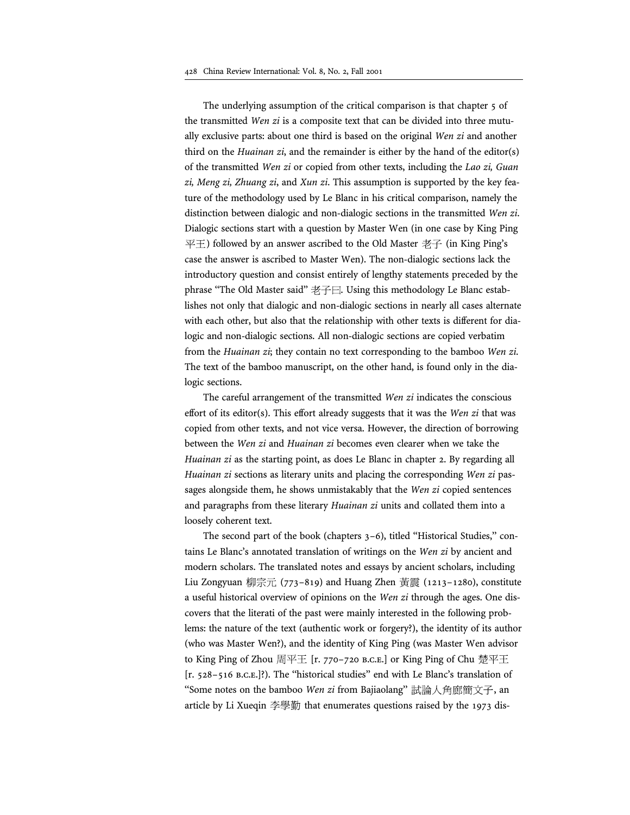The underlying assumption of the critical comparison is that chapter 5 of the transmitted Wen zi is a composite text that can be divided into three mutually exclusive parts: about one third is based on the original Wen zi and another third on the Huainan zi, and the remainder is either by the hand of the editor(s) of the transmitted Wen zi or copied from other texts, including the Lao zi, Guan zi, Meng zi, Zhuang zi, and Xun zi. This assumption is supported by the key feature of the methodology used by Le Blanc in his critical comparison, namely the distinction between dialogic and non-dialogic sections in the transmitted Wen zi. Dialogic sections start with a question by Master Wen (in one case by King Ping 平王) followed by an answer ascribed to the Old Master 老子 (in King Ping's case the answer is ascribed to Master Wen). The non-dialogic sections lack the introductory question and consist entirely of lengthy statements preceded by the phrase "The Old Master said" 老子曰. Using this methodology Le Blanc establishes not only that dialogic and non-dialogic sections in nearly all cases alternate with each other, but also that the relationship with other texts is different for dialogic and non-dialogic sections. All non-dialogic sections are copied verbatim from the Huainan zi; they contain no text corresponding to the bamboo Wen zi. The text of the bamboo manuscript, on the other hand, is found only in the dialogic sections.

The careful arrangement of the transmitted Wen zi indicates the conscious effort of its editor(s). This effort already suggests that it was the Wen zi that was copied from other texts, and not vice versa. However, the direction of borrowing between the Wen zi and Huainan zi becomes even clearer when we take the Huainan zi as the starting point, as does Le Blanc in chapter 2. By regarding all Huainan zi sections as literary units and placing the corresponding Wen zi passages alongside them, he shows unmistakably that the Wen zi copied sentences and paragraphs from these literary Huainan zi units and collated them into a loosely coherent text.

The second part of the book (chapters 3–6), titled ''Historical Studies,'' contains Le Blanc's annotated translation of writings on the Wen zi by ancient and modern scholars. The translated notes and essays by ancient scholars, including Liu Zongyuan 柳宗元 (773–819) and Huang Zhen 黃震 (1213–1280), constitute a useful historical overview of opinions on the Wen zi through the ages. One discovers that the literati of the past were mainly interested in the following problems: the nature of the text (authentic work or forgery?), the identity of its author (who was Master Wen?), and the identity of King Ping (was Master Wen advisor to King Ping of Zhou 周平王 [r. 770–720 B.C.E.] or King Ping of Chu 楚平王 [r. 528–516 b.c.e.]?). The ''historical studies'' end with Le Blanc's translation of "Some notes on the bamboo Wen zi from Bajiaolang" 試論人角廊簡文子, an article by Li Xueqin 李學勤 that enumerates questions raised by the 1973 dis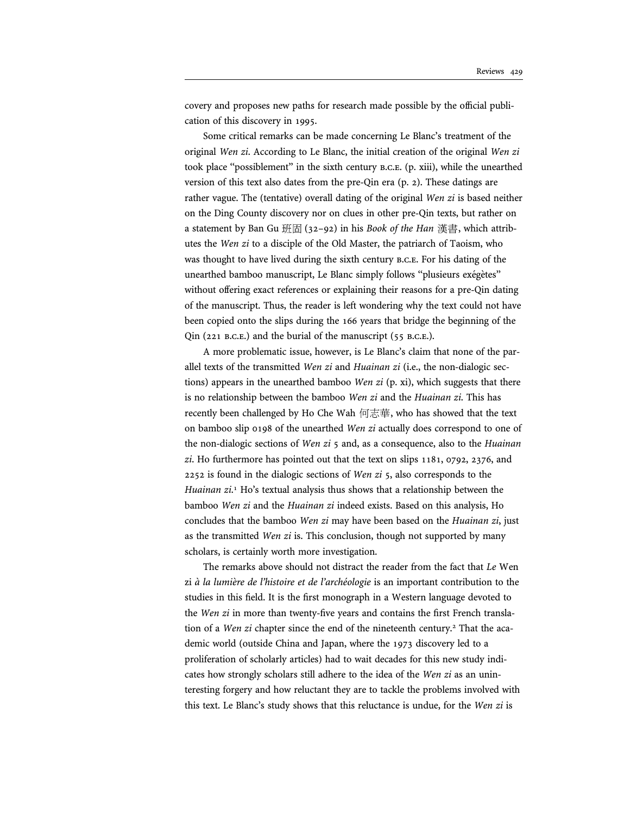covery and proposes new paths for research made possible by the official publication of this discovery in 1995.

Some critical remarks can be made concerning Le Blanc's treatment of the original Wen zi. According to Le Blanc, the initial creation of the original Wen zi took place ''possiblement'' in the sixth century b.c.e. (p. xiii), while the unearthed version of this text also dates from the pre-Qin era (p. 2). These datings are rather vague. The (tentative) overall dating of the original Wen zi is based neither on the Ding County discovery nor on clues in other pre-Qin texts, but rather on a statement by Ban Gu 班固 (32–92) in his *Book of the Han* 漢書, which attributes the Wen zi to a disciple of the Old Master, the patriarch of Taoism, who was thought to have lived during the sixth century b.c.e. For his dating of the unearthed bamboo manuscript, Le Blanc simply follows "plusieurs exégètes" without offering exact references or explaining their reasons for a pre-Qin dating of the manuscript. Thus, the reader is left wondering why the text could not have been copied onto the slips during the 166 years that bridge the beginning of the Qin (221 b.c.e.) and the burial of the manuscript  $(55 B.C.E.).$ 

A more problematic issue, however, is Le Blanc's claim that none of the parallel texts of the transmitted Wen zi and Huainan zi (i.e., the non-dialogic sections) appears in the unearthed bamboo *Wen zi* (p. xi), which suggests that there is no relationship between the bamboo Wen zi and the Huainan zi. This has recently been challenged by Ho Che Wah 何志華, who has showed that the text on bamboo slip 0198 of the unearthed Wen zi actually does correspond to one of the non-dialogic sections of Wen  $zi$  5 and, as a consequence, also to the Huainan zi. Ho furthermore has pointed out that the text on slips 1181, 0792, 2376, and 2252 is found in the dialogic sections of Wen  $zi$  5, also corresponds to the Huainan zi.<sup>1</sup> Ho's textual analysis thus shows that a relationship between the bamboo Wen zi and the Huainan zi indeed exists. Based on this analysis, Ho concludes that the bamboo Wen zi may have been based on the Huainan zi, just as the transmitted Wen zi is. This conclusion, though not supported by many scholars, is certainly worth more investigation.

The remarks above should not distract the reader from the fact that Le Wen zi à la lumière de l'histoire et de l'archéologie is an important contribution to the studies in this field. It is the first monograph in a Western language devoted to the Wen zi in more than twenty-five years and contains the first French translation of a Wen zi chapter since the end of the nineteenth century.<sup>2</sup> That the academic world (outside China and Japan, where the 1973 discovery led to a proliferation of scholarly articles) had to wait decades for this new study indicates how strongly scholars still adhere to the idea of the Wen zi as an uninteresting forgery and how reluctant they are to tackle the problems involved with this text. Le Blanc's study shows that this reluctance is undue, for the Wen zi is